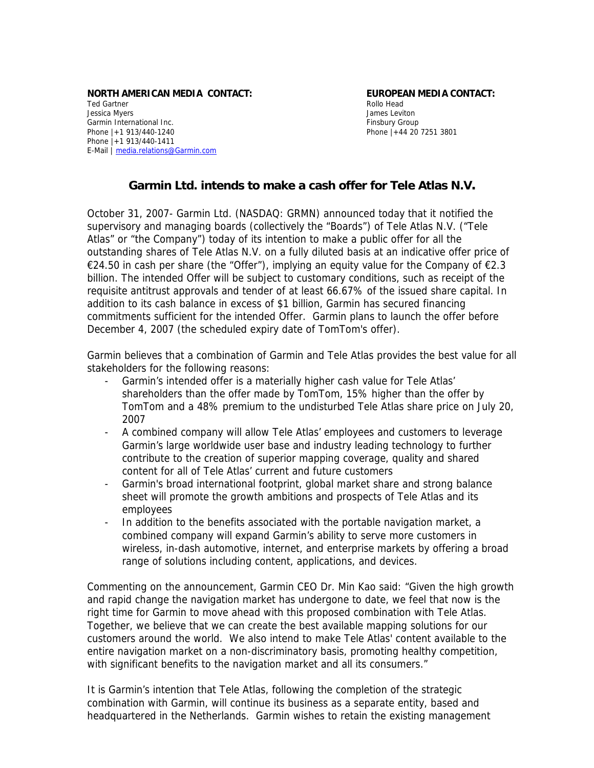#### **NORTH AMERICAN MEDIA CONTACT: EUROPEAN MEDIA CONTACT:** Ted Gartner **Rollo Head** Jessica Myers James Leviton Garmin International Inc. **Finsbury Group Finsbury Group** Phone |+1 913/440-1240 **Phone 144 20 7251 3801** Phone |+1 913/440-1411 E-Mail | [media.relations@Garmin.com](mailto:media.relations@garmin.com)

# **Garmin Ltd. intends to make a cash offer for Tele Atlas N.V.**

October 31, 2007- Garmin Ltd. (NASDAQ: GRMN) announced today that it notified the supervisory and managing boards (collectively the "Boards") of Tele Atlas N.V. ("Tele Atlas" or "the Company") today of its intention to make a public offer for all the outstanding shares of Tele Atlas N.V. on a fully diluted basis at an indicative offer price of €24.50 in cash per share (the "Offer"), implying an equity value for the Company of  $€2.3$ billion. The intended Offer will be subject to customary conditions, such as receipt of the requisite antitrust approvals and tender of at least 66.67% of the issued share capital. In addition to its cash balance in excess of \$1 billion, Garmin has secured financing commitments sufficient for the intended Offer. Garmin plans to launch the offer before December 4, 2007 (the scheduled expiry date of TomTom's offer).

Garmin believes that a combination of Garmin and Tele Atlas provides the best value for all stakeholders for the following reasons:

- Garmin's intended offer is a materially higher cash value for Tele Atlas' shareholders than the offer made by TomTom, 15% higher than the offer by TomTom and a 48% premium to the undisturbed Tele Atlas share price on July 20, 2007
- A combined company will allow Tele Atlas' employees and customers to leverage Garmin's large worldwide user base and industry leading technology to further contribute to the creation of superior mapping coverage, quality and shared content for all of Tele Atlas' current and future customers
- Garmin's broad international footprint, global market share and strong balance sheet will promote the growth ambitions and prospects of Tele Atlas and its employees
- In addition to the benefits associated with the portable navigation market, a combined company will expand Garmin's ability to serve more customers in wireless, in-dash automotive, internet, and enterprise markets by offering a broad range of solutions including content, applications, and devices.

Commenting on the announcement, Garmin CEO Dr. Min Kao said: "Given the high growth and rapid change the navigation market has undergone to date, we feel that now is the right time for Garmin to move ahead with this proposed combination with Tele Atlas. Together, we believe that we can create the best available mapping solutions for our customers around the world. We also intend to make Tele Atlas' content available to the entire navigation market on a non-discriminatory basis, promoting healthy competition, with significant benefits to the navigation market and all its consumers."

It is Garmin's intention that Tele Atlas, following the completion of the strategic combination with Garmin, will continue its business as a separate entity, based and headquartered in the Netherlands. Garmin wishes to retain the existing management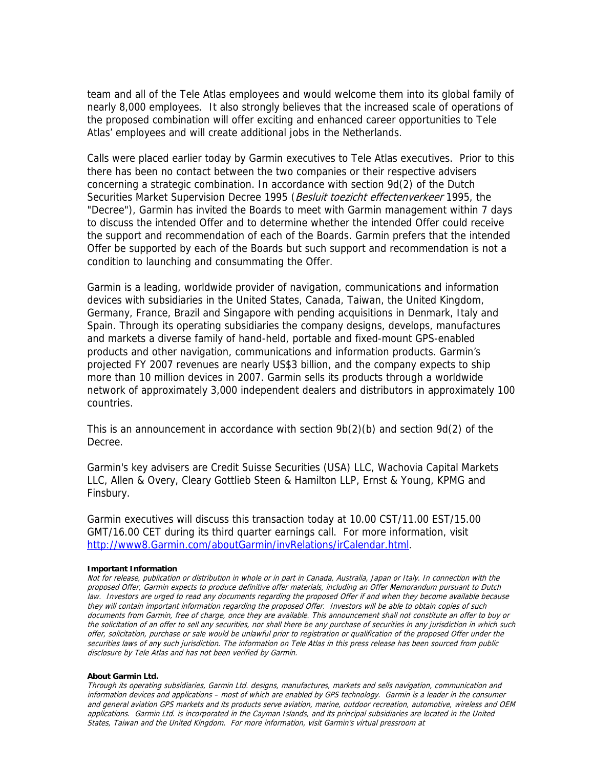team and all of the Tele Atlas employees and would welcome them into its global family of nearly 8,000 employees. It also strongly believes that the increased scale of operations of the proposed combination will offer exciting and enhanced career opportunities to Tele Atlas' employees and will create additional jobs in the Netherlands.

Calls were placed earlier today by Garmin executives to Tele Atlas executives. Prior to this there has been no contact between the two companies or their respective advisers concerning a strategic combination. In accordance with section 9d(2) of the Dutch Securities Market Supervision Decree 1995 (Besluit toezicht effectenverkeer 1995, the "Decree"), Garmin has invited the Boards to meet with Garmin management within 7 days to discuss the intended Offer and to determine whether the intended Offer could receive the support and recommendation of each of the Boards. Garmin prefers that the intended Offer be supported by each of the Boards but such support and recommendation is not a condition to launching and consummating the Offer.

Garmin is a leading, worldwide provider of navigation, communications and information devices with subsidiaries in the United States, Canada, Taiwan, the United Kingdom, Germany, France, Brazil and Singapore with pending acquisitions in Denmark, Italy and Spain. Through its operating subsidiaries the company designs, develops, manufactures and markets a diverse family of hand-held, portable and fixed-mount GPS-enabled products and other navigation, communications and information products. Garmin's projected FY 2007 revenues are nearly US\$3 billion, and the company expects to ship more than 10 million devices in 2007. Garmin sells its products through a worldwide network of approximately 3,000 independent dealers and distributors in approximately 100 countries.

This is an announcement in accordance with section  $9b(2)(b)$  and section  $9d(2)$  of the Decree.

Garmin's key advisers are Credit Suisse Securities (USA) LLC, Wachovia Capital Markets LLC, Allen & Overy, Cleary Gottlieb Steen & Hamilton LLP, Ernst & Young, KPMG and Finsbury.

Garmin executives will discuss this transaction today at 10.00 CST/11.00 EST/15.00 GMT/16.00 CET during its third quarter earnings call. For more information, visit [http://www8.Garmin.com/aboutGarmin/invRelations/irCalendar.html.](http://www8.garmin.com/aboutGarmin/invRelations/irCalendar.html)

### **Important Information**

Not for release, publication or distribution in whole or in part in Canada, Australia, Japan or Italy. In connection with the proposed Offer, Garmin expects to produce definitive offer materials, including an Offer Memorandum pursuant to Dutch law. Investors are urged to read any documents regarding the proposed Offer if and when they become available because they will contain important information regarding the proposed Offer. Investors will be able to obtain copies of such documents from Garmin, free of charge, once they are available. This announcement shall not constitute an offer to buy or the solicitation of an offer to sell any securities, nor shall there be any purchase of securities in any jurisdiction in which such offer, solicitation, purchase or sale would be unlawful prior to registration or qualification of the proposed Offer under the securities laws of any such jurisdiction. The information on Tele Atlas in this press release has been sourced from public disclosure by Tele Atlas and has not been verified by Garmin.

## **About Garmin Ltd.**

Through its operating subsidiaries, Garmin Ltd. designs, manufactures, markets and sells navigation, communication and information devices and applications – most of which are enabled by GPS technology. Garmin is a leader in the consumer and general aviation GPS markets and its products serve aviation, marine, outdoor recreation, automotive, wireless and OEM applications. Garmin Ltd. is incorporated in the Cayman Islands, and its principal subsidiaries are located in the United States, Taiwan and the United Kingdom. For more information, visit Garmin's virtual pressroom at